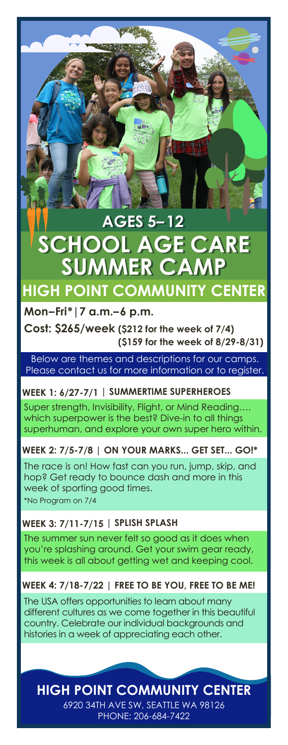# **SUMMER CA AGES 5–12 AGES 5–12 SCHOOL AGE CARE**

# **HIGH POINT COMMUNITY CENTER**

## **Mon–Fri\*|7 a.m.–6 p.m.**

**Cost: \$265/week (\$212 for the week of 7/4) (\$159 for the week of 8/29-8/31)**

Below are themes and descriptions for our camps. Please contact us for more information or to register.

## **WEEK 1: 6/27-7/1 | SUMMERTIME SUPERHEROES**

Super strength, Invisibility, Flight, or Mind Reading…. which superpower is the best? Dive-in to all things superhuman, and explore your own super hero within.

**WEEK 2: 7/5-7/8 | ON YOUR MARKS... GET SET... GO!\***

\*No Program on 7/4 The race is on! How fast can you run, jump, skip, and hop? Get ready to bounce dash and more in this week of sporting good times.

# **WEEK 3: 7/11-7/15 | SPLISH SPLASH**

The summer sun never felt so good as it does when you're splashing around. Get your swim gear ready, this week is all about getting wet and keeping cool.

# **WEEK 4: 7/18-7/22 | FREE TO BE YOU, FREE TO BE ME!**

The USA offers opportunities to learn about many different cultures as we come together in this beautiful country. Celebrate our individual backgrounds and histories in a week of appreciating each other.

**HIGH POINT COMMUNITY CENTER**

6920 34TH AVE SW, SEATTLE WA 98126 PHONE: 206-684-7422